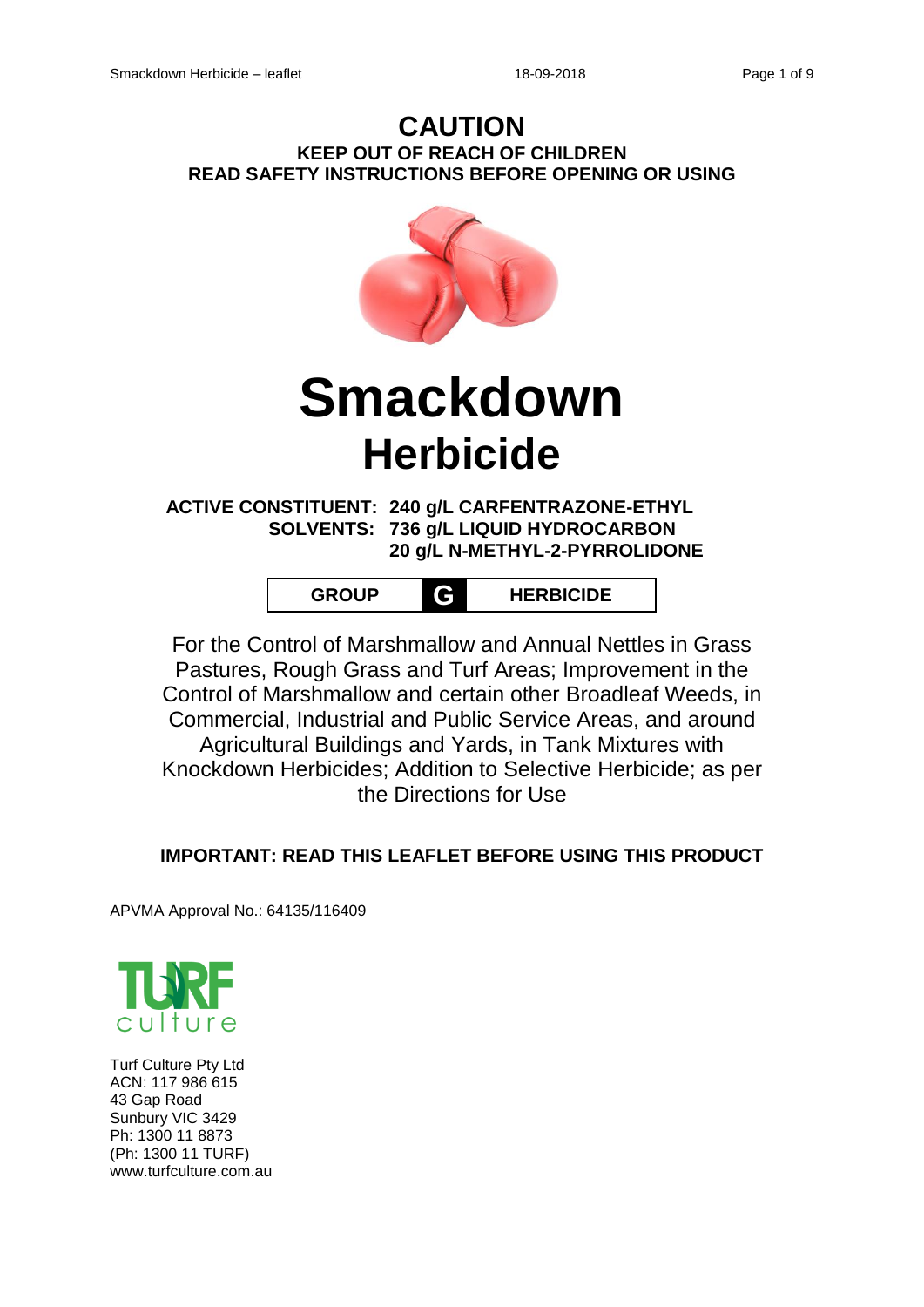# **CAUTION KEEP OUT OF REACH OF CHILDREN READ SAFETY INSTRUCTIONS BEFORE OPENING OR USING**



# **Smackdown Herbicide**

**ACTIVE CONSTITUENT: 240 g/L CARFENTRAZONE-ETHYL SOLVENTS: 736 g/L LIQUID HYDROCARBON 20 g/L N-METHYL-2-PYRROLIDONE**

| <b>GROUP</b> |  | <b>HERBICIDE</b> |
|--------------|--|------------------|
|--------------|--|------------------|

For the Control of Marshmallow and Annual Nettles in Grass Pastures, Rough Grass and Turf Areas; Improvement in the Control of Marshmallow and certain other Broadleaf Weeds, in Commercial, Industrial and Public Service Areas, and around Agricultural Buildings and Yards, in Tank Mixtures with Knockdown Herbicides; Addition to Selective Herbicide; as per the Directions for Use

# **IMPORTANT: READ THIS LEAFLET BEFORE USING THIS PRODUCT**

APVMA Approval No.: 64135/116409



Turf Culture Pty Ltd ACN: 117 986 615 43 Gap Road Sunbury VIC 3429 Ph: 1300 11 8873 (Ph: 1300 11 TURF) www.turfculture.com.au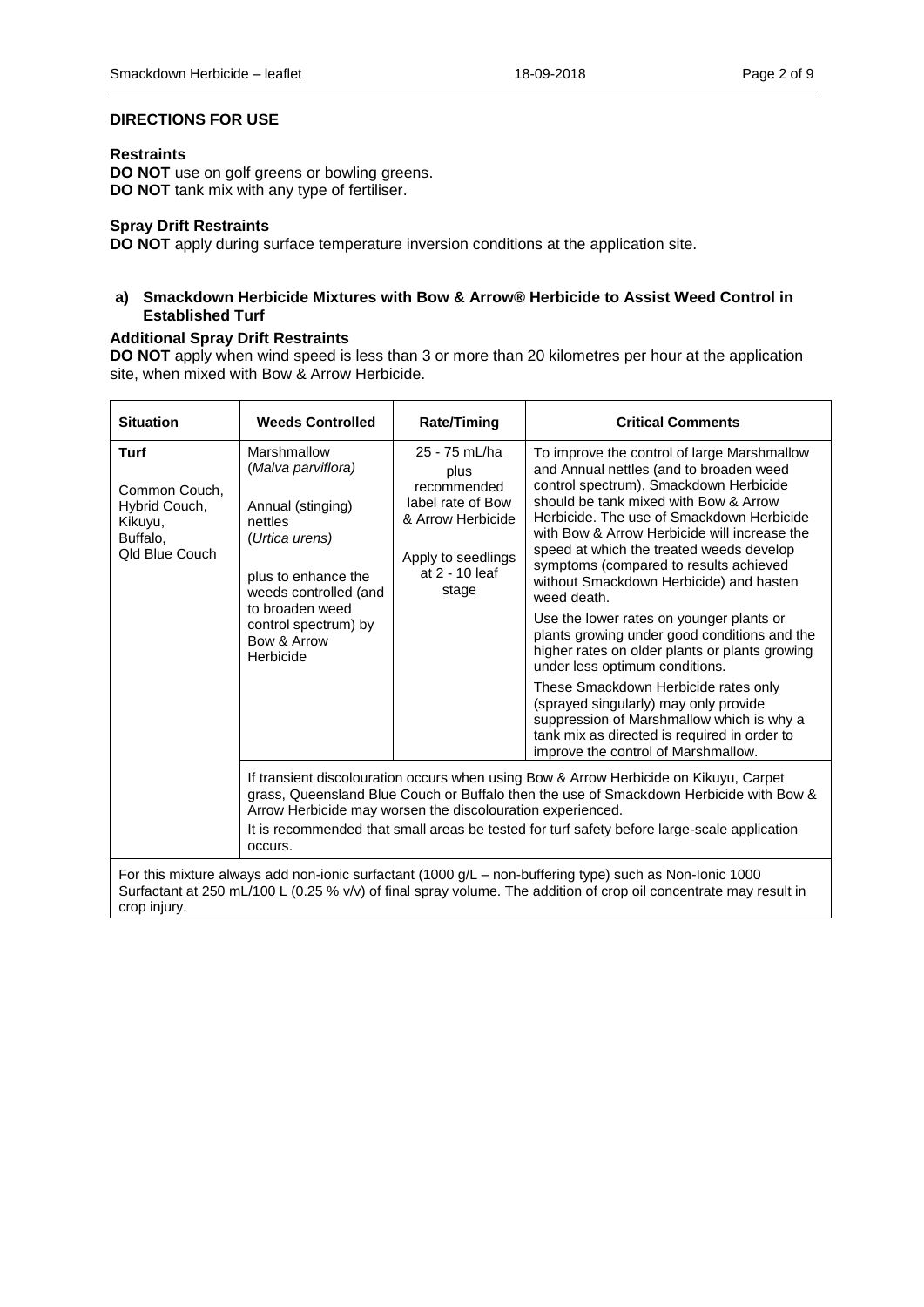#### **DIRECTIONS FOR USE**

#### **Restraints**

**DO NOT** use on golf greens or bowling greens. **DO NOT** tank mix with any type of fertiliser.

#### **Spray Drift Restraints**

**DO NOT** apply during surface temperature inversion conditions at the application site.

#### **a) Smackdown Herbicide Mixtures with Bow & Arrow® Herbicide to Assist Weed Control in Established Turf**

#### **Additional Spray Drift Restraints**

**DO NOT** apply when wind speed is less than 3 or more than 20 kilometres per hour at the application site, when mixed with Bow & Arrow Herbicide.

| <b>Situation</b>                                                                                                                                                                                                                             | <b>Weeds Controlled</b>                                                                                                                                                                                                                                                                                                                                 | <b>Rate/Timing</b>                                                                                                              | <b>Critical Comments</b>                                                                                                                                                                                                                                                                                                                                                                                                                                                                                                                                                                                                                                                                                                                                                                                                    |  |  |  |  |
|----------------------------------------------------------------------------------------------------------------------------------------------------------------------------------------------------------------------------------------------|---------------------------------------------------------------------------------------------------------------------------------------------------------------------------------------------------------------------------------------------------------------------------------------------------------------------------------------------------------|---------------------------------------------------------------------------------------------------------------------------------|-----------------------------------------------------------------------------------------------------------------------------------------------------------------------------------------------------------------------------------------------------------------------------------------------------------------------------------------------------------------------------------------------------------------------------------------------------------------------------------------------------------------------------------------------------------------------------------------------------------------------------------------------------------------------------------------------------------------------------------------------------------------------------------------------------------------------------|--|--|--|--|
| <b>Turf</b><br>Common Couch,<br>Hybrid Couch,<br>Kikuyu,<br>Buffalo,<br>Old Blue Couch                                                                                                                                                       | Marshmallow<br>(Malva parviflora)<br>Annual (stinging)<br>nettles<br>(Urtica urens)<br>plus to enhance the<br>weeds controlled (and<br>to broaden weed<br>control spectrum) by<br>Bow & Arrow<br>Herbicide                                                                                                                                              | 25 - 75 mL/ha<br>plus<br>recommended<br>label rate of Bow<br>& Arrow Herbicide<br>Apply to seedlings<br>at 2 - 10 leaf<br>stage | To improve the control of large Marshmallow<br>and Annual nettles (and to broaden weed<br>control spectrum), Smackdown Herbicide<br>should be tank mixed with Bow & Arrow<br>Herbicide. The use of Smackdown Herbicide<br>with Bow & Arrow Herbicide will increase the<br>speed at which the treated weeds develop<br>symptoms (compared to results achieved<br>without Smackdown Herbicide) and hasten<br>weed death.<br>Use the lower rates on younger plants or<br>plants growing under good conditions and the<br>higher rates on older plants or plants growing<br>under less optimum conditions.<br>These Smackdown Herbicide rates only<br>(sprayed singularly) may only provide<br>suppression of Marshmallow which is why a<br>tank mix as directed is required in order to<br>improve the control of Marshmallow. |  |  |  |  |
|                                                                                                                                                                                                                                              | If transient discolouration occurs when using Bow & Arrow Herbicide on Kikuyu, Carpet<br>grass, Queensland Blue Couch or Buffalo then the use of Smackdown Herbicide with Bow &<br>Arrow Herbicide may worsen the discolouration experienced.<br>It is recommended that small areas be tested for turf safety before large-scale application<br>occurs. |                                                                                                                                 |                                                                                                                                                                                                                                                                                                                                                                                                                                                                                                                                                                                                                                                                                                                                                                                                                             |  |  |  |  |
| For this mixture always add non-ionic surfactant (1000 g/L – non-buffering type) such as Non-Ionic 1000<br>Surfactant at 250 mL/100 L (0.25 % v/v) of final spray volume. The addition of crop oil concentrate may result in<br>crop injury. |                                                                                                                                                                                                                                                                                                                                                         |                                                                                                                                 |                                                                                                                                                                                                                                                                                                                                                                                                                                                                                                                                                                                                                                                                                                                                                                                                                             |  |  |  |  |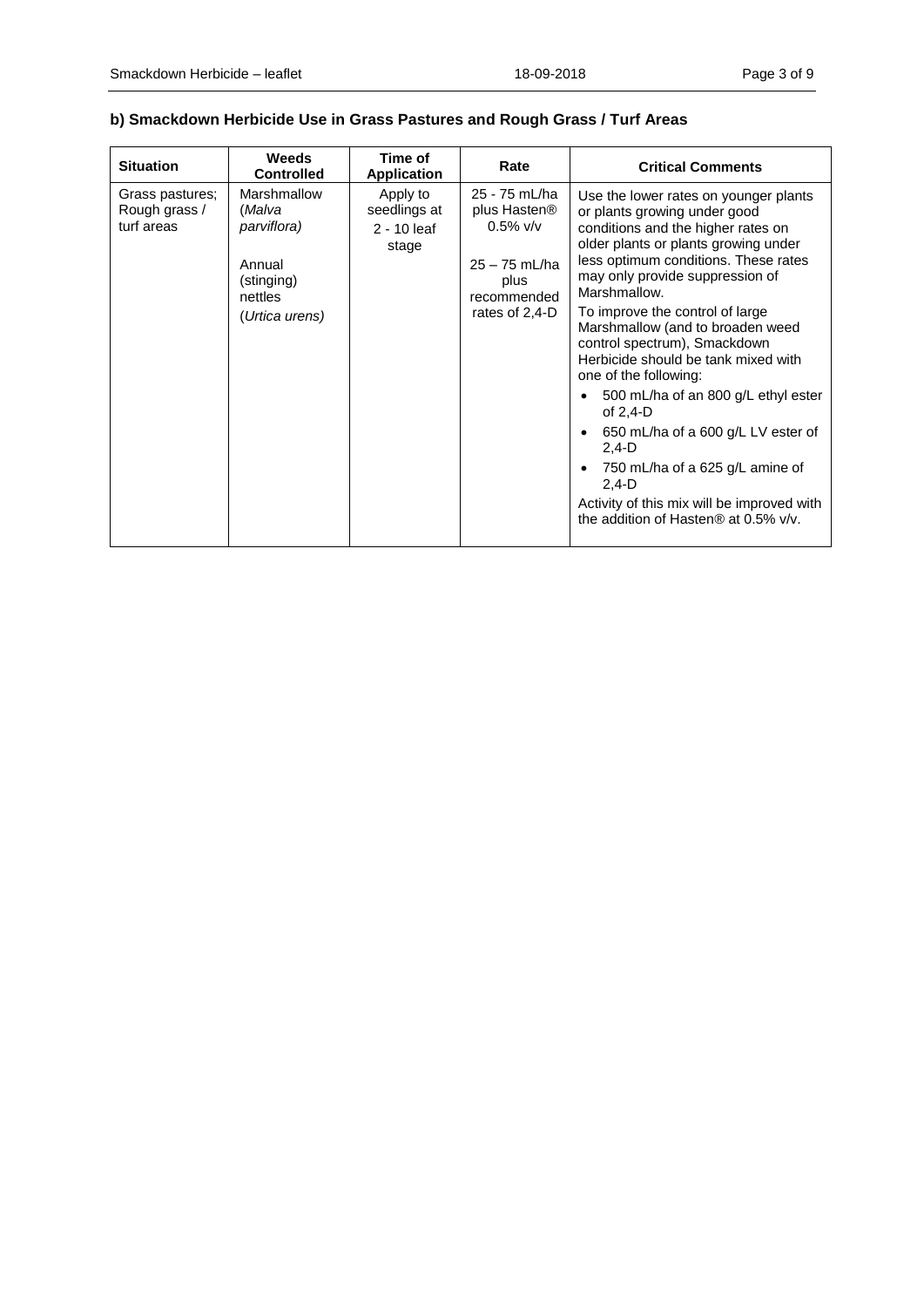## **b) Smackdown Herbicide Use in Grass Pastures and Rough Grass / Turf Areas**

| <b>Situation</b>                               | <b>Weeds</b><br><b>Controlled</b>                                                         | Time of<br><b>Application</b>                      | Rate                                                                                                                 | <b>Critical Comments</b>                                                                                                                                                                                                                                                                                                                                                                                                                                                                                                                                                                                                                                        |
|------------------------------------------------|-------------------------------------------------------------------------------------------|----------------------------------------------------|----------------------------------------------------------------------------------------------------------------------|-----------------------------------------------------------------------------------------------------------------------------------------------------------------------------------------------------------------------------------------------------------------------------------------------------------------------------------------------------------------------------------------------------------------------------------------------------------------------------------------------------------------------------------------------------------------------------------------------------------------------------------------------------------------|
| Grass pastures;<br>Rough grass /<br>turf areas | Marshmallow<br>(Malva<br>parviflora)<br>Annual<br>(stinging)<br>nettles<br>(Urtica urens) | Apply to<br>seedlings at<br>$2 - 10$ leaf<br>stage | 25 - 75 mL/ha<br>plus Hasten <sup>®</sup><br>$0.5\%$ v/v<br>$25 - 75$ mL/ha<br>plus<br>recommended<br>rates of 2,4-D | Use the lower rates on younger plants<br>or plants growing under good<br>conditions and the higher rates on<br>older plants or plants growing under<br>less optimum conditions. These rates<br>may only provide suppression of<br>Marshmallow.<br>To improve the control of large<br>Marshmallow (and to broaden weed<br>control spectrum), Smackdown<br>Herbicide should be tank mixed with<br>one of the following:<br>500 mL/ha of an 800 g/L ethyl ester<br>of $2,4-D$<br>650 mL/ha of a 600 g/L LV ester of<br>$2,4-D$<br>750 mL/ha of a 625 g/L amine of<br>$2,4-D$<br>Activity of this mix will be improved with<br>the addition of Hasten® at 0.5% v/v. |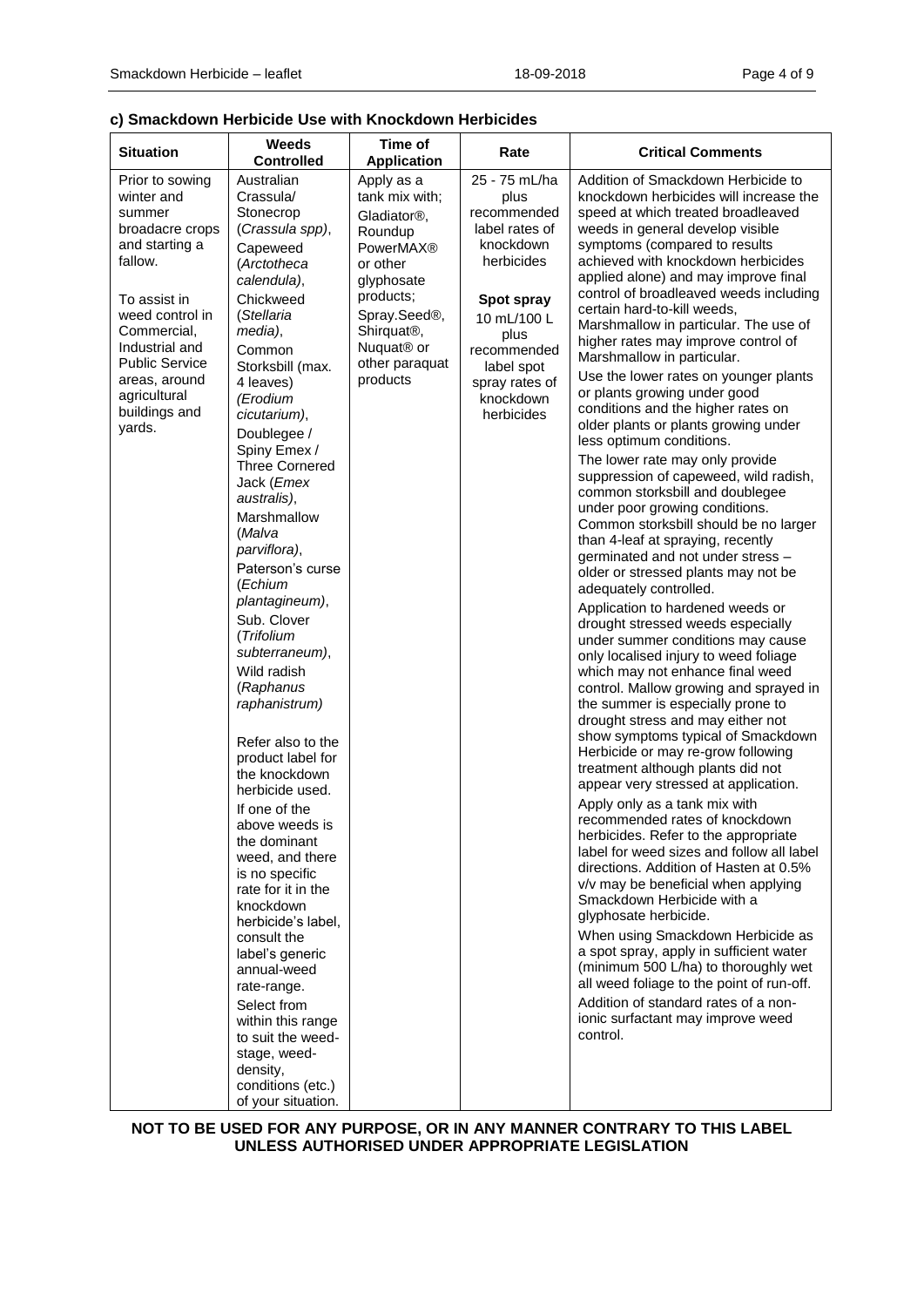#### **c) Smackdown Herbicide Use with Knockdown Herbicides**

| <b>Situation</b>                                                                                                                                                                                                                                 | Weeds<br><b>Controlled</b>                                                                                                                                                                                                                                                                                                                                                                                                                                                                                                                                                                                                                                                                                                                                                                                                                                                                                               | Time of<br><b>Application</b>                                                                                                                                                                                                     | Rate                                                                                                                                                                                             | <b>Critical Comments</b>                                                                                                                                                                                                                                                                                                                                                                                                                                                                                                                                                                                                                                                                                                                                                                                                                                                                                                                                                                                                                                                                                                                                                                                                                                                                                                                                                                                                                                                                                                                                                                                                                                                                                                                                                                                                                                                                                                                                                                                                   |
|--------------------------------------------------------------------------------------------------------------------------------------------------------------------------------------------------------------------------------------------------|--------------------------------------------------------------------------------------------------------------------------------------------------------------------------------------------------------------------------------------------------------------------------------------------------------------------------------------------------------------------------------------------------------------------------------------------------------------------------------------------------------------------------------------------------------------------------------------------------------------------------------------------------------------------------------------------------------------------------------------------------------------------------------------------------------------------------------------------------------------------------------------------------------------------------|-----------------------------------------------------------------------------------------------------------------------------------------------------------------------------------------------------------------------------------|--------------------------------------------------------------------------------------------------------------------------------------------------------------------------------------------------|----------------------------------------------------------------------------------------------------------------------------------------------------------------------------------------------------------------------------------------------------------------------------------------------------------------------------------------------------------------------------------------------------------------------------------------------------------------------------------------------------------------------------------------------------------------------------------------------------------------------------------------------------------------------------------------------------------------------------------------------------------------------------------------------------------------------------------------------------------------------------------------------------------------------------------------------------------------------------------------------------------------------------------------------------------------------------------------------------------------------------------------------------------------------------------------------------------------------------------------------------------------------------------------------------------------------------------------------------------------------------------------------------------------------------------------------------------------------------------------------------------------------------------------------------------------------------------------------------------------------------------------------------------------------------------------------------------------------------------------------------------------------------------------------------------------------------------------------------------------------------------------------------------------------------------------------------------------------------------------------------------------------------|
| Prior to sowing<br>winter and<br>summer<br>broadacre crops<br>and starting a<br>fallow.<br>To assist in<br>weed control in<br>Commercial,<br>Industrial and<br><b>Public Service</b><br>areas, around<br>agricultural<br>buildings and<br>yards. | Australian<br>Crassula/<br>Stonecrop<br>(Crassula spp),<br>Capeweed<br>(Arctotheca<br>calendula),<br>Chickweed<br>(Stellaria<br>media),<br>Common<br>Storksbill (max.<br>4 leaves)<br>(Erodium<br>cicutarium),<br>Doublegee /<br>Spiny Emex /<br><b>Three Cornered</b><br>Jack (Emex<br>australis),<br>Marshmallow<br>(Malva<br>parviflora),<br>Paterson's curse<br>(Echium<br>plantagineum),<br>Sub. Clover<br>(Trifolium<br>subterraneum),<br>Wild radish<br>(Raphanus<br>raphanistrum)<br>Refer also to the<br>product label for<br>the knockdown<br>herbicide used.<br>If one of the<br>above weeds is<br>the dominant<br>weed, and there<br>is no specific<br>rate for it in the<br>knockdown<br>herbicide's label,<br>consult the<br>label's generic<br>annual-weed<br>rate-range.<br>Select from<br>within this range<br>to suit the weed-<br>stage, weed-<br>density,<br>conditions (etc.)<br>of your situation. | Apply as a<br>tank mix with;<br>Gladiator <sup>®</sup> .<br>Roundup<br><b>PowerMAX®</b><br>or other<br>glyphosate<br>products;<br>Spray.Seed®,<br>Shirquat <sup>®</sup> ,<br>Nuquat <sup>®</sup> or<br>other paraquat<br>products | 25 - 75 mL/ha<br>plus<br>recommended<br>label rates of<br>knockdown<br>herbicides<br>Spot spray<br>10 mL/100 L<br>plus<br>recommended<br>label spot<br>spray rates of<br>knockdown<br>herbicides | Addition of Smackdown Herbicide to<br>knockdown herbicides will increase the<br>speed at which treated broadleaved<br>weeds in general develop visible<br>symptoms (compared to results<br>achieved with knockdown herbicides<br>applied alone) and may improve final<br>control of broadleaved weeds including<br>certain hard-to-kill weeds,<br>Marshmallow in particular. The use of<br>higher rates may improve control of<br>Marshmallow in particular.<br>Use the lower rates on younger plants<br>or plants growing under good<br>conditions and the higher rates on<br>older plants or plants growing under<br>less optimum conditions.<br>The lower rate may only provide<br>suppression of capeweed, wild radish,<br>common storksbill and doublegee<br>under poor growing conditions.<br>Common storksbill should be no larger<br>than 4-leaf at spraying, recently<br>germinated and not under stress -<br>older or stressed plants may not be<br>adequately controlled.<br>Application to hardened weeds or<br>drought stressed weeds especially<br>under summer conditions may cause<br>only localised injury to weed foliage<br>which may not enhance final weed<br>control. Mallow growing and sprayed in<br>the summer is especially prone to<br>drought stress and may either not<br>show symptoms typical of Smackdown<br>Herbicide or may re-grow following<br>treatment although plants did not<br>appear very stressed at application.<br>Apply only as a tank mix with<br>recommended rates of knockdown<br>herbicides. Refer to the appropriate<br>label for weed sizes and follow all label<br>directions. Addition of Hasten at 0.5%<br>v/v may be beneficial when applying<br>Smackdown Herbicide with a<br>glyphosate herbicide.<br>When using Smackdown Herbicide as<br>a spot spray, apply in sufficient water<br>(minimum 500 L/ha) to thoroughly wet<br>all weed foliage to the point of run-off.<br>Addition of standard rates of a non-<br>ionic surfactant may improve weed<br>control. |

#### **NOT TO BE USED FOR ANY PURPOSE, OR IN ANY MANNER CONTRARY TO THIS LABEL UNLESS AUTHORISED UNDER APPROPRIATE LEGISLATION**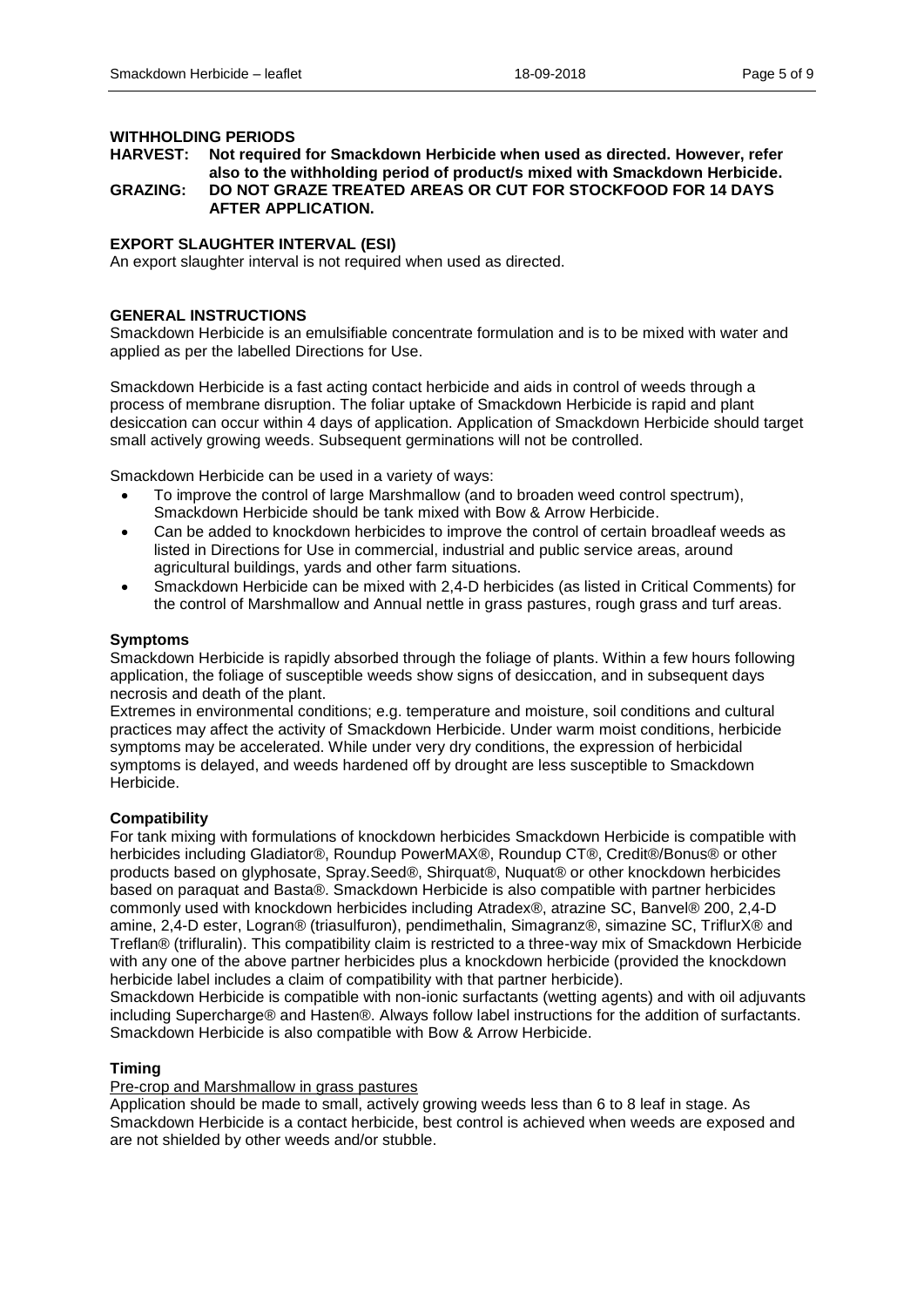#### **WITHHOLDING PERIODS**

**HARVEST: Not required for Smackdown Herbicide when used as directed. However, refer also to the withholding period of product/s mixed with Smackdown Herbicide. GRAZING: DO NOT GRAZE TREATED AREAS OR CUT FOR STOCKFOOD FOR 14 DAYS AFTER APPLICATION.**

#### **EXPORT SLAUGHTER INTERVAL (ESI)**

An export slaughter interval is not required when used as directed.

#### **GENERAL INSTRUCTIONS**

Smackdown Herbicide is an emulsifiable concentrate formulation and is to be mixed with water and applied as per the labelled Directions for Use.

Smackdown Herbicide is a fast acting contact herbicide and aids in control of weeds through a process of membrane disruption. The foliar uptake of Smackdown Herbicide is rapid and plant desiccation can occur within 4 days of application. Application of Smackdown Herbicide should target small actively growing weeds. Subsequent germinations will not be controlled.

Smackdown Herbicide can be used in a variety of ways:

- To improve the control of large Marshmallow (and to broaden weed control spectrum), Smackdown Herbicide should be tank mixed with Bow & Arrow Herbicide.
- Can be added to knockdown herbicides to improve the control of certain broadleaf weeds as listed in Directions for Use in commercial, industrial and public service areas, around agricultural buildings, yards and other farm situations.
- Smackdown Herbicide can be mixed with 2,4-D herbicides (as listed in Critical Comments) for the control of Marshmallow and Annual nettle in grass pastures, rough grass and turf areas.

#### **Symptoms**

Smackdown Herbicide is rapidly absorbed through the foliage of plants. Within a few hours following application, the foliage of susceptible weeds show signs of desiccation, and in subsequent days necrosis and death of the plant.

Extremes in environmental conditions; e.g. temperature and moisture, soil conditions and cultural practices may affect the activity of Smackdown Herbicide. Under warm moist conditions, herbicide symptoms may be accelerated. While under very dry conditions, the expression of herbicidal symptoms is delayed, and weeds hardened off by drought are less susceptible to Smackdown Herbicide.

#### **Compatibility**

For tank mixing with formulations of knockdown herbicides Smackdown Herbicide is compatible with herbicides including Gladiator®, Roundup PowerMAX®, Roundup CT®, Credit®/Bonus® or other products based on glyphosate, Spray.Seed®, Shirquat®, Nuquat® or other knockdown herbicides based on paraquat and Basta®. Smackdown Herbicide is also compatible with partner herbicides commonly used with knockdown herbicides including Atradex®, atrazine SC, Banvel® 200, 2,4-D amine, 2,4-D ester, Logran® (triasulfuron), pendimethalin, Simagranz®, simazine SC, TriflurX® and Treflan® (trifluralin). This compatibility claim is restricted to a three-way mix of Smackdown Herbicide with any one of the above partner herbicides plus a knockdown herbicide (provided the knockdown herbicide label includes a claim of compatibility with that partner herbicide).

Smackdown Herbicide is compatible with non-ionic surfactants (wetting agents) and with oil adjuvants including Supercharge® and Hasten®. Always follow label instructions for the addition of surfactants. Smackdown Herbicide is also compatible with Bow & Arrow Herbicide.

#### **Timing**

Pre-crop and Marshmallow in grass pastures

Application should be made to small, actively growing weeds less than 6 to 8 leaf in stage. As Smackdown Herbicide is a contact herbicide, best control is achieved when weeds are exposed and are not shielded by other weeds and/or stubble.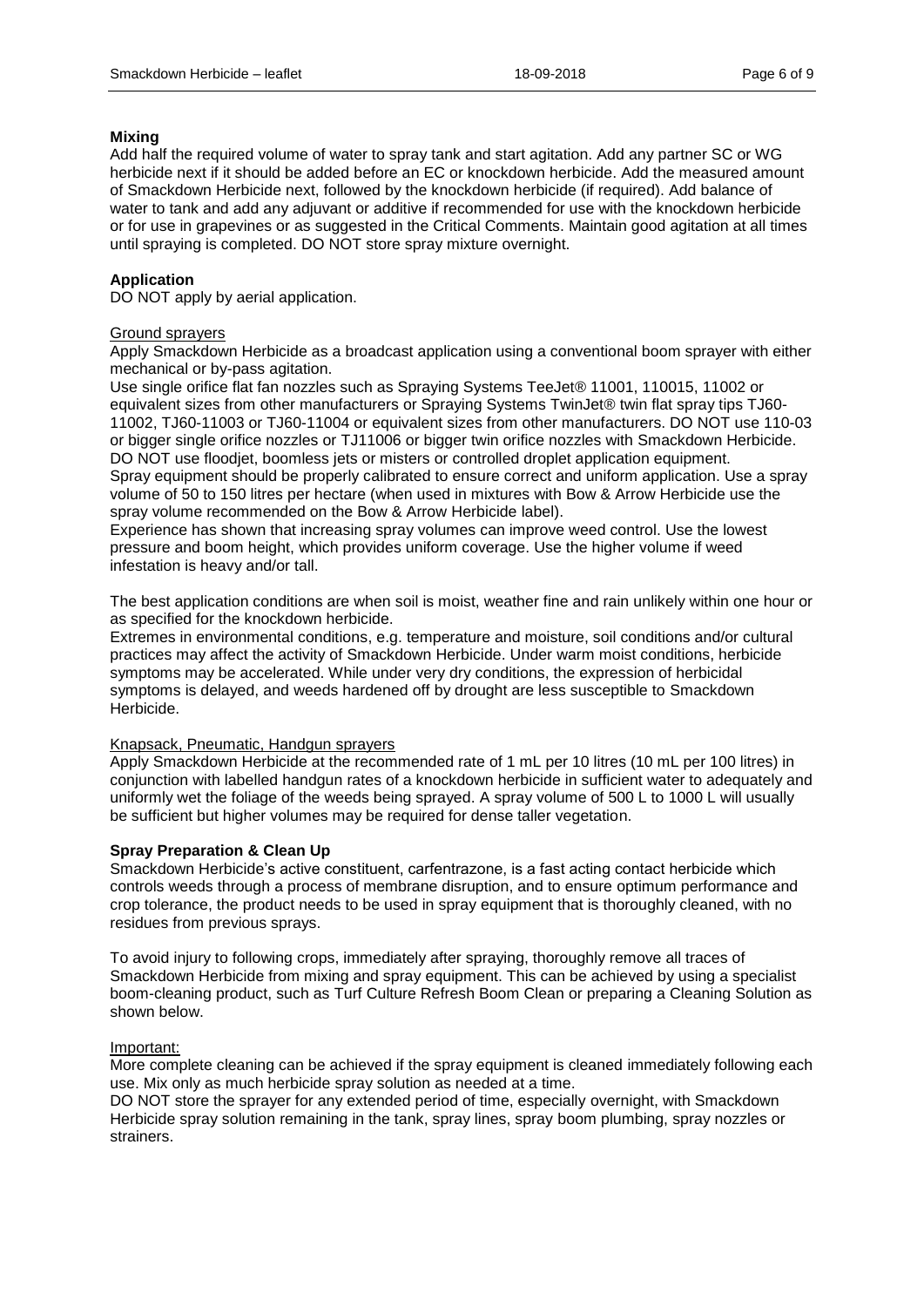#### **Mixing**

Add half the required volume of water to spray tank and start agitation. Add any partner SC or WG herbicide next if it should be added before an EC or knockdown herbicide. Add the measured amount of Smackdown Herbicide next, followed by the knockdown herbicide (if required). Add balance of water to tank and add any adjuvant or additive if recommended for use with the knockdown herbicide or for use in grapevines or as suggested in the Critical Comments. Maintain good agitation at all times until spraying is completed. DO NOT store spray mixture overnight.

#### **Application**

DO NOT apply by aerial application.

#### Ground sprayers

Apply Smackdown Herbicide as a broadcast application using a conventional boom sprayer with either mechanical or by-pass agitation.

Use single orifice flat fan nozzles such as Spraying Systems TeeJet® 11001, 110015, 11002 or equivalent sizes from other manufacturers or Spraying Systems TwinJet® twin flat spray tips TJ60- 11002, TJ60-11003 or TJ60-11004 or equivalent sizes from other manufacturers. DO NOT use 110-03 or bigger single orifice nozzles or TJ11006 or bigger twin orifice nozzles with Smackdown Herbicide. DO NOT use floodjet, boomless jets or misters or controlled droplet application equipment.

Spray equipment should be properly calibrated to ensure correct and uniform application. Use a spray volume of 50 to 150 litres per hectare (when used in mixtures with Bow & Arrow Herbicide use the spray volume recommended on the Bow & Arrow Herbicide label).

Experience has shown that increasing spray volumes can improve weed control. Use the lowest pressure and boom height, which provides uniform coverage. Use the higher volume if weed infestation is heavy and/or tall.

The best application conditions are when soil is moist, weather fine and rain unlikely within one hour or as specified for the knockdown herbicide.

Extremes in environmental conditions, e.g. temperature and moisture, soil conditions and/or cultural practices may affect the activity of Smackdown Herbicide. Under warm moist conditions, herbicide symptoms may be accelerated. While under very dry conditions, the expression of herbicidal symptoms is delayed, and weeds hardened off by drought are less susceptible to Smackdown Herbicide.

#### Knapsack, Pneumatic, Handgun sprayers

Apply Smackdown Herbicide at the recommended rate of 1 mL per 10 litres (10 mL per 100 litres) in conjunction with labelled handgun rates of a knockdown herbicide in sufficient water to adequately and uniformly wet the foliage of the weeds being sprayed. A spray volume of 500 L to 1000 L will usually be sufficient but higher volumes may be required for dense taller vegetation.

#### **Spray Preparation & Clean Up**

Smackdown Herbicide's active constituent, carfentrazone, is a fast acting contact herbicide which controls weeds through a process of membrane disruption, and to ensure optimum performance and crop tolerance, the product needs to be used in spray equipment that is thoroughly cleaned, with no residues from previous sprays.

To avoid injury to following crops, immediately after spraying, thoroughly remove all traces of Smackdown Herbicide from mixing and spray equipment. This can be achieved by using a specialist boom-cleaning product, such as Turf Culture Refresh Boom Clean or preparing a Cleaning Solution as shown below.

#### Important:

More complete cleaning can be achieved if the spray equipment is cleaned immediately following each use. Mix only as much herbicide spray solution as needed at a time.

DO NOT store the sprayer for any extended period of time, especially overnight, with Smackdown Herbicide spray solution remaining in the tank, spray lines, spray boom plumbing, spray nozzles or strainers.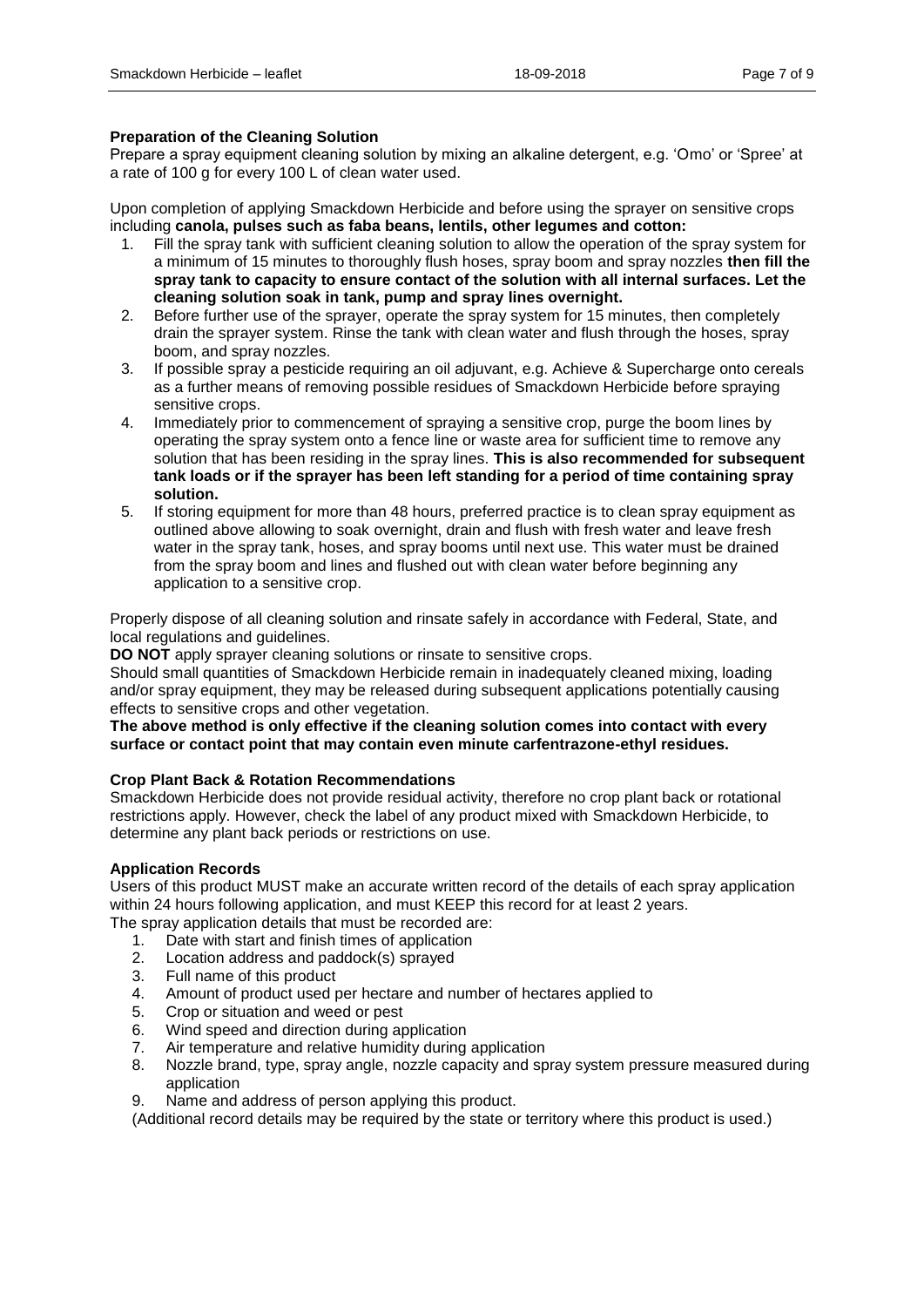#### **Preparation of the Cleaning Solution**

Prepare a spray equipment cleaning solution by mixing an alkaline detergent, e.g. 'Omo' or 'Spree' at a rate of 100 g for every 100 L of clean water used.

Upon completion of applying Smackdown Herbicide and before using the sprayer on sensitive crops including **canola, pulses such as faba beans, lentils, other legumes and cotton:** 

- 1. Fill the spray tank with sufficient cleaning solution to allow the operation of the spray system for a minimum of 15 minutes to thoroughly flush hoses, spray boom and spray nozzles **then fill the spray tank to capacity to ensure contact of the solution with all internal surfaces. Let the cleaning solution soak in tank, pump and spray lines overnight.**
- 2. Before further use of the sprayer, operate the spray system for 15 minutes, then completely drain the sprayer system. Rinse the tank with clean water and flush through the hoses, spray boom, and spray nozzles.
- 3. If possible spray a pesticide requiring an oil adjuvant, e.g. Achieve & Supercharge onto cereals as a further means of removing possible residues of Smackdown Herbicide before spraying sensitive crops.
- 4. Immediately prior to commencement of spraying a sensitive crop, purge the boom lines by operating the spray system onto a fence line or waste area for sufficient time to remove any solution that has been residing in the spray lines. **This is also recommended for subsequent tank loads or if the sprayer has been left standing for a period of time containing spray solution.**
- 5. If storing equipment for more than 48 hours, preferred practice is to clean spray equipment as outlined above allowing to soak overnight, drain and flush with fresh water and leave fresh water in the spray tank, hoses, and spray booms until next use. This water must be drained from the spray boom and lines and flushed out with clean water before beginning any application to a sensitive crop.

Properly dispose of all cleaning solution and rinsate safely in accordance with Federal, State, and local regulations and guidelines.

**DO NOT** apply sprayer cleaning solutions or rinsate to sensitive crops.

Should small quantities of Smackdown Herbicide remain in inadequately cleaned mixing, loading and/or spray equipment, they may be released during subsequent applications potentially causing effects to sensitive crops and other vegetation.

#### **The above method is only effective if the cleaning solution comes into contact with every surface or contact point that may contain even minute carfentrazone-ethyl residues.**

#### **Crop Plant Back & Rotation Recommendations**

Smackdown Herbicide does not provide residual activity, therefore no crop plant back or rotational restrictions apply. However, check the label of any product mixed with Smackdown Herbicide, to determine any plant back periods or restrictions on use.

#### **Application Records**

Users of this product MUST make an accurate written record of the details of each spray application within 24 hours following application, and must KEEP this record for at least 2 years.

- The spray application details that must be recorded are:
	- 1. Date with start and finish times of application
	- 2. Location address and paddock(s) sprayed
	- 3. Full name of this product
	- 4. Amount of product used per hectare and number of hectares applied to
	- 5. Crop or situation and weed or pest
	- 6. Wind speed and direction during application
	- 7. Air temperature and relative humidity during application
	- 8. Nozzle brand, type, spray angle, nozzle capacity and spray system pressure measured during application
	- 9. Name and address of person applying this product.

(Additional record details may be required by the state or territory where this product is used.)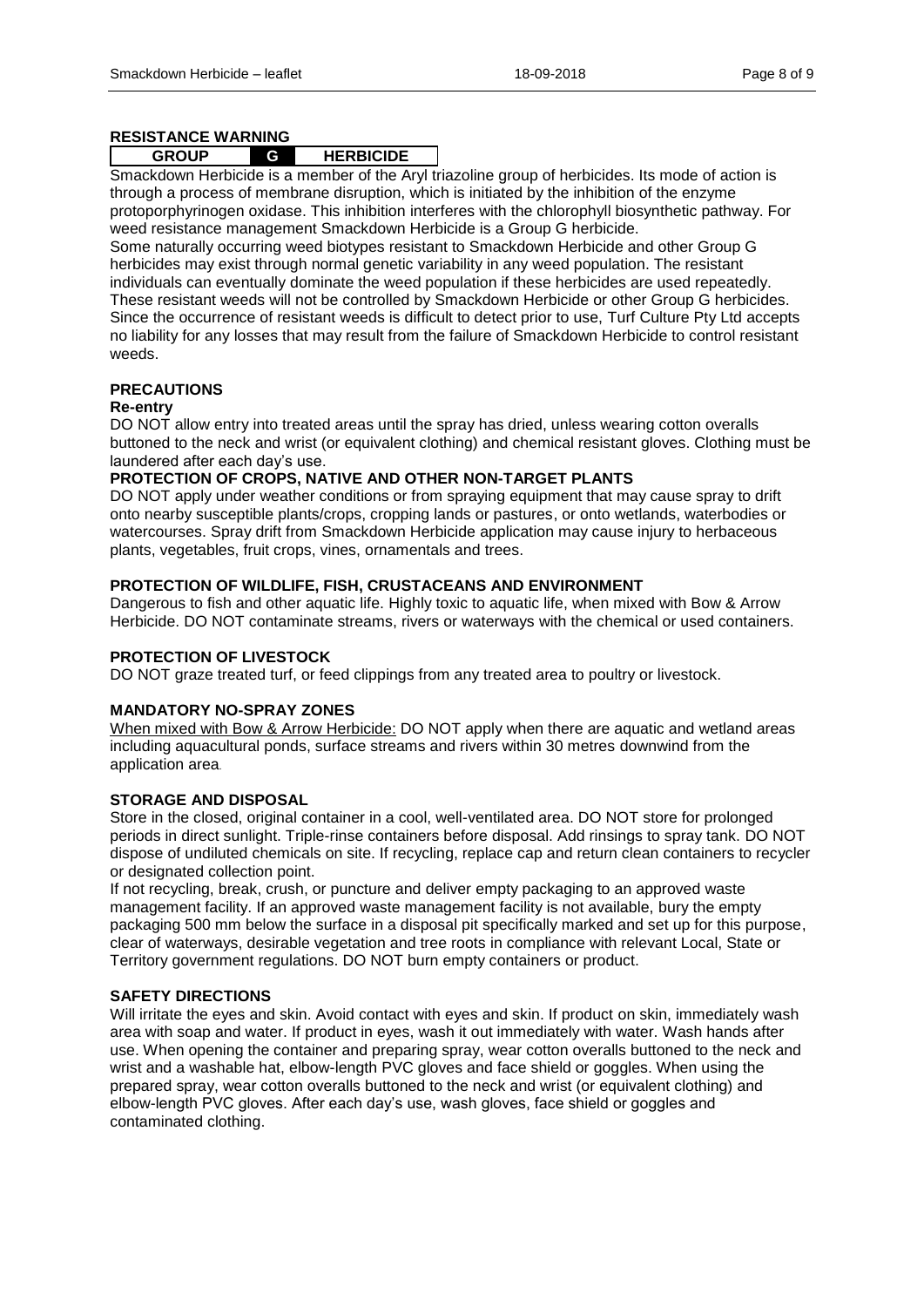#### **RESISTANCE WARNING**

#### **GROUP G HERBICIDE**

Smackdown Herbicide is a member of the Aryl triazoline group of herbicides. Its mode of action is through a process of membrane disruption, which is initiated by the inhibition of the enzyme protoporphyrinogen oxidase. This inhibition interferes with the chlorophyll biosynthetic pathway. For weed resistance management Smackdown Herbicide is a Group G herbicide.

Some naturally occurring weed biotypes resistant to Smackdown Herbicide and other Group G herbicides may exist through normal genetic variability in any weed population. The resistant individuals can eventually dominate the weed population if these herbicides are used repeatedly. These resistant weeds will not be controlled by Smackdown Herbicide or other Group G herbicides. Since the occurrence of resistant weeds is difficult to detect prior to use, Turf Culture Pty Ltd accepts no liability for any losses that may result from the failure of Smackdown Herbicide to control resistant weeds.

# **PRECAUTIONS**

#### **Re-entry**

DO NOT allow entry into treated areas until the spray has dried, unless wearing cotton overalls buttoned to the neck and wrist (or equivalent clothing) and chemical resistant gloves. Clothing must be laundered after each day's use.

#### **PROTECTION OF CROPS, NATIVE AND OTHER NON-TARGET PLANTS**

DO NOT apply under weather conditions or from spraying equipment that may cause spray to drift onto nearby susceptible plants/crops, cropping lands or pastures, or onto wetlands, waterbodies or watercourses. Spray drift from Smackdown Herbicide application may cause injury to herbaceous plants, vegetables, fruit crops, vines, ornamentals and trees.

### **PROTECTION OF WILDLIFE, FISH, CRUSTACEANS AND ENVIRONMENT**

Dangerous to fish and other aquatic life. Highly toxic to aquatic life, when mixed with Bow & Arrow Herbicide. DO NOT contaminate streams, rivers or waterways with the chemical or used containers.

#### **PROTECTION OF LIVESTOCK**

DO NOT graze treated turf, or feed clippings from any treated area to poultry or livestock.

#### **MANDATORY NO-SPRAY ZONES**

When mixed with Bow & Arrow Herbicide: DO NOT apply when there are aquatic and wetland areas including aquacultural ponds, surface streams and rivers within 30 metres downwind from the application area.

## **STORAGE AND DISPOSAL**

Store in the closed, original container in a cool, well-ventilated area. DO NOT store for prolonged periods in direct sunlight. Triple-rinse containers before disposal. Add rinsings to spray tank. DO NOT dispose of undiluted chemicals on site. If recycling, replace cap and return clean containers to recycler or designated collection point.

If not recycling, break, crush, or puncture and deliver empty packaging to an approved waste management facility. If an approved waste management facility is not available, bury the empty packaging 500 mm below the surface in a disposal pit specifically marked and set up for this purpose, clear of waterways, desirable vegetation and tree roots in compliance with relevant Local, State or Territory government regulations. DO NOT burn empty containers or product.

#### **SAFETY DIRECTIONS**

Will irritate the eyes and skin. Avoid contact with eyes and skin. If product on skin, immediately wash area with soap and water. If product in eyes, wash it out immediately with water. Wash hands after use. When opening the container and preparing spray, wear cotton overalls buttoned to the neck and wrist and a washable hat, elbow-length PVC gloves and face shield or goggles. When using the prepared spray, wear cotton overalls buttoned to the neck and wrist (or equivalent clothing) and elbow-length PVC gloves. After each day's use, wash gloves, face shield or goggles and contaminated clothing.